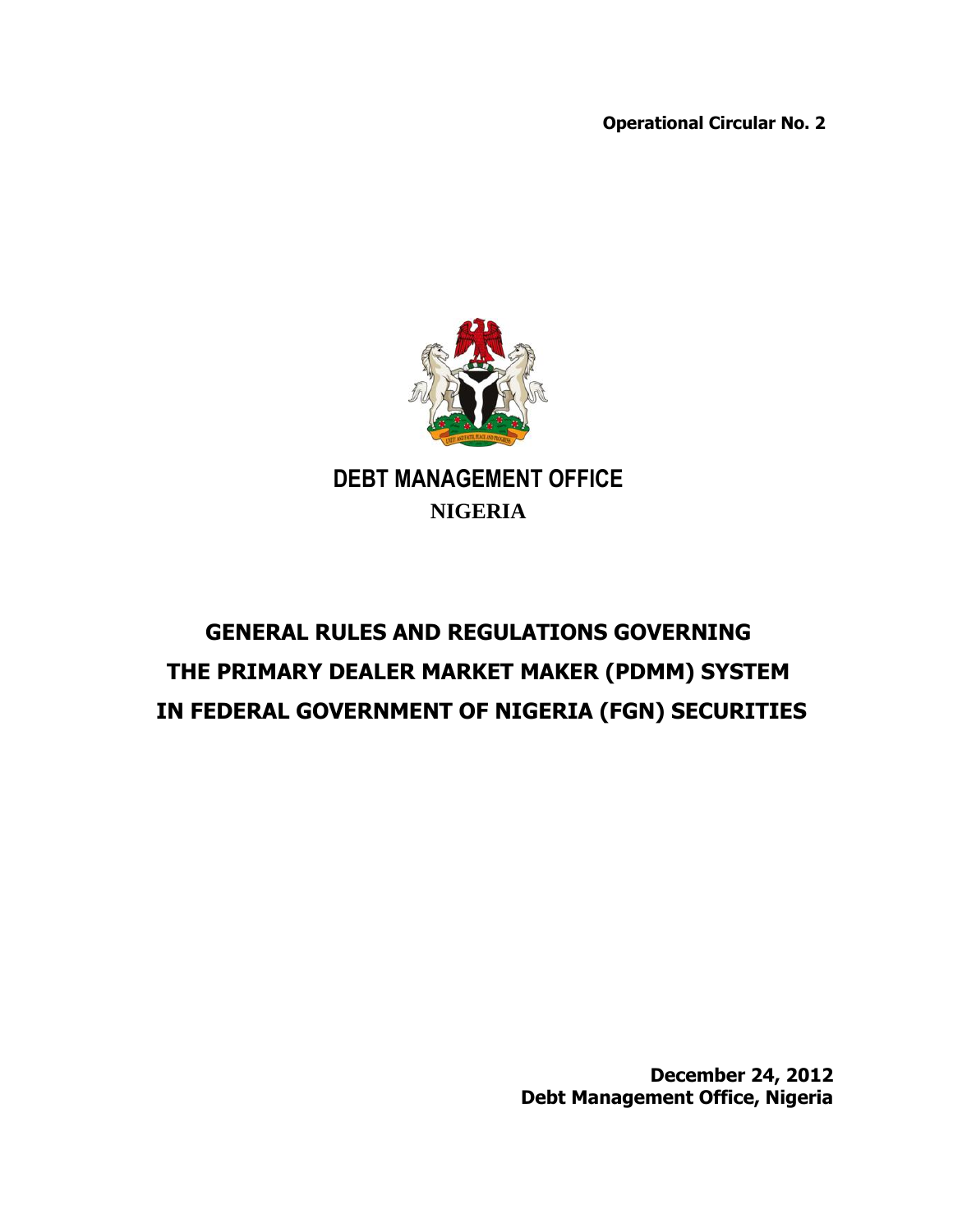**Operational Circular No. 2**



# **GENERAL RULES AND REGULATIONS GOVERNING THE PRIMARY DEALER MARKET MAKER (PDMM) SYSTEM IN FEDERAL GOVERNMENT OF NIGERIA (FGN) SECURITIES**

**December 24, 2012 Debt Management Office, Nigeria**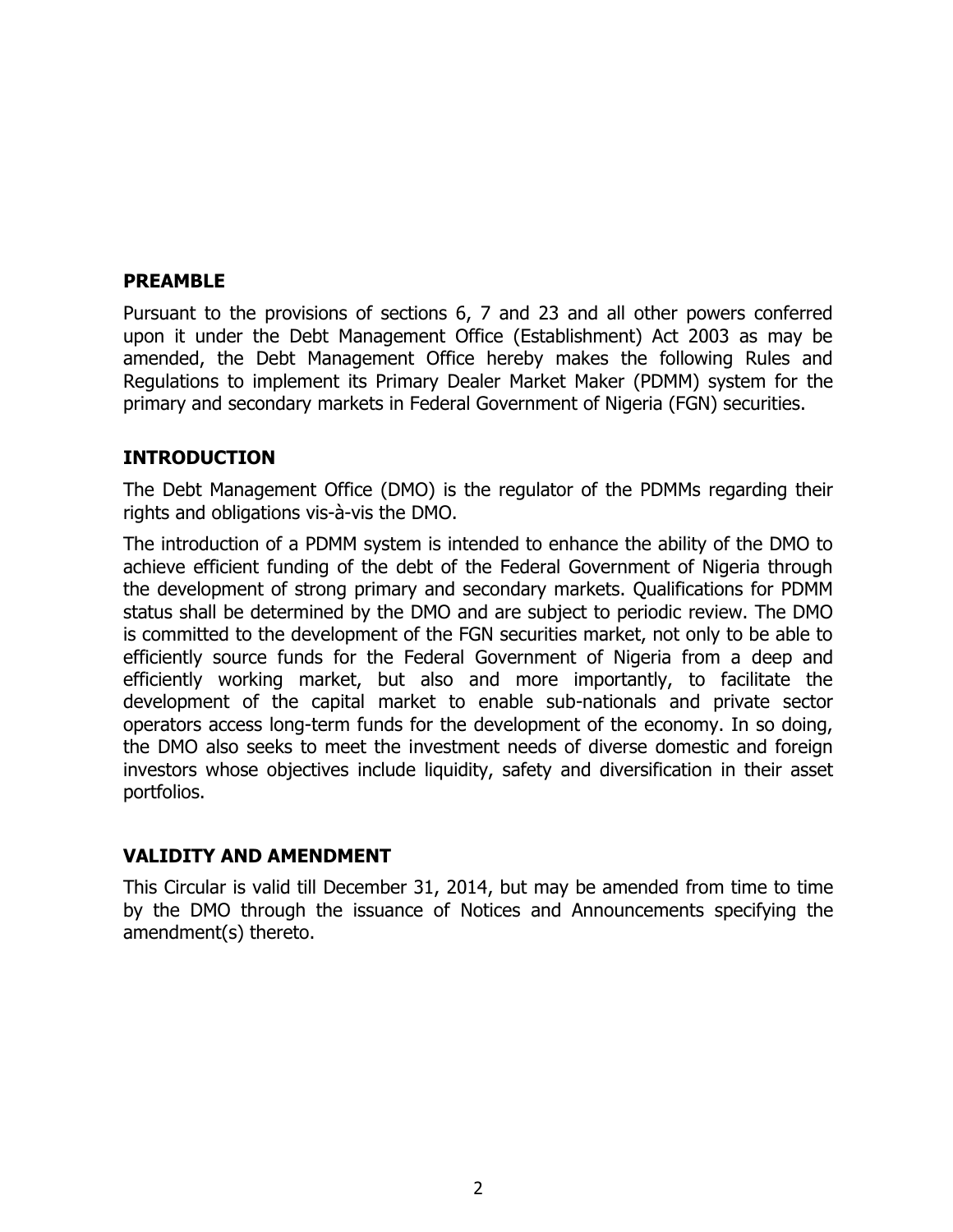#### **PREAMBLE**

Pursuant to the provisions of sections 6, 7 and 23 and all other powers conferred upon it under the Debt Management Office (Establishment) Act 2003 as may be amended, the Debt Management Office hereby makes the following Rules and Regulations to implement its Primary Dealer Market Maker (PDMM) system for the primary and secondary markets in Federal Government of Nigeria (FGN) securities.

#### **INTRODUCTION**

The Debt Management Office (DMO) is the regulator of the PDMMs regarding their rights and obligations vis-à-vis the DMO.

The introduction of a PDMM system is intended to enhance the ability of the DMO to achieve efficient funding of the debt of the Federal Government of Nigeria through the development of strong primary and secondary markets. Qualifications for PDMM status shall be determined by the DMO and are subject to periodic review. The DMO is committed to the development of the FGN securities market, not only to be able to efficiently source funds for the Federal Government of Nigeria from a deep and efficiently working market, but also and more importantly, to facilitate the development of the capital market to enable sub-nationals and private sector operators access long-term funds for the development of the economy. In so doing, the DMO also seeks to meet the investment needs of diverse domestic and foreign investors whose objectives include liquidity, safety and diversification in their asset portfolios.

#### **VALIDITY AND AMENDMENT**

This Circular is valid till December 31, 2014, but may be amended from time to time by the DMO through the issuance of Notices and Announcements specifying the amendment(s) thereto.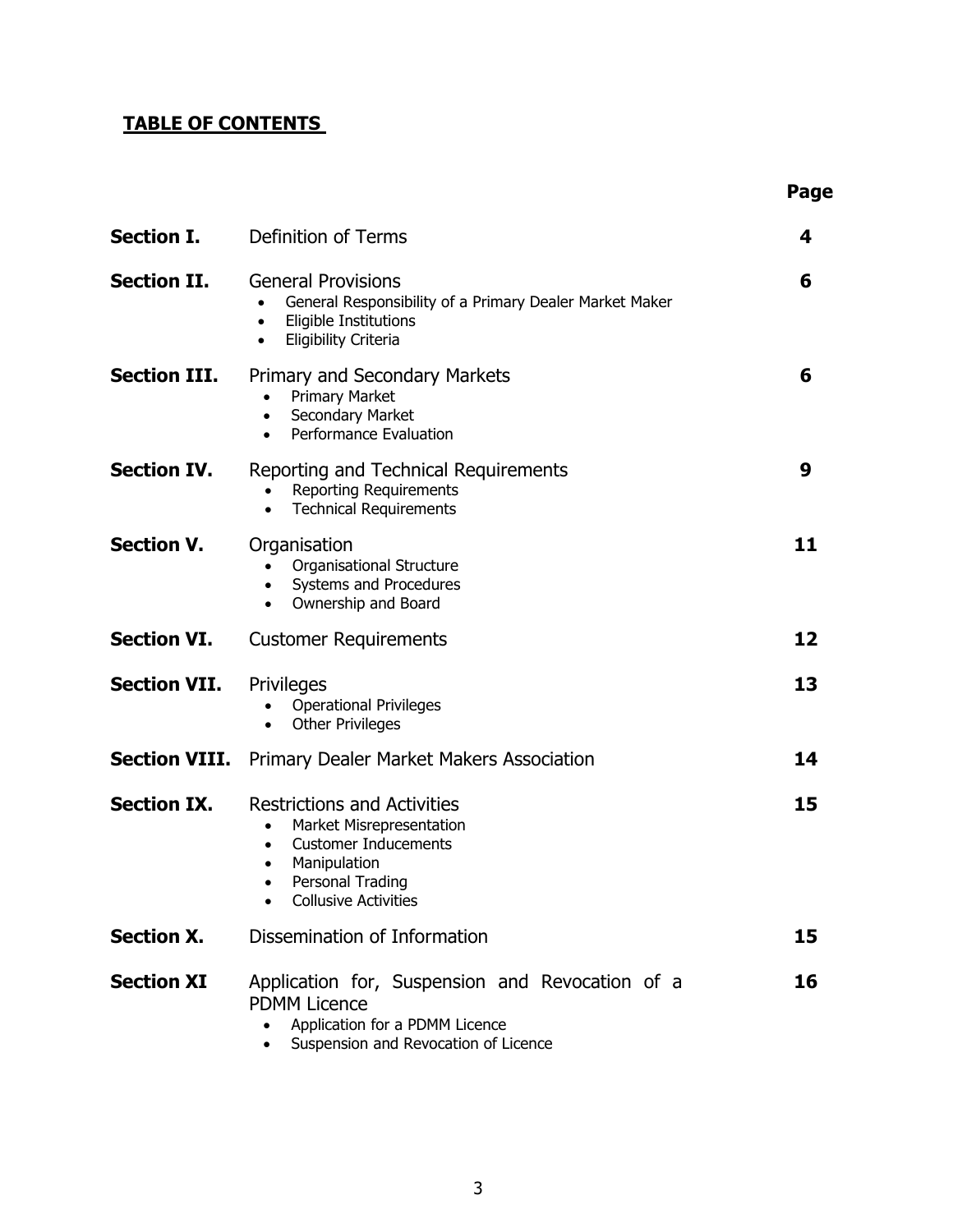# **TABLE OF CONTENTS**

|                     |                                                                                                                                                                                            | Page |
|---------------------|--------------------------------------------------------------------------------------------------------------------------------------------------------------------------------------------|------|
| <b>Section I.</b>   | Definition of Terms                                                                                                                                                                        | 4    |
| <b>Section II.</b>  | <b>General Provisions</b><br>General Responsibility of a Primary Dealer Market Maker<br><b>Eligible Institutions</b><br>$\bullet$<br><b>Eligibility Criteria</b><br>$\bullet$              | 6    |
| <b>Section III.</b> | Primary and Secondary Markets<br><b>Primary Market</b><br>Secondary Market<br>$\bullet$<br>Performance Evaluation<br>$\bullet$                                                             | 6    |
| <b>Section IV.</b>  | Reporting and Technical Requirements<br><b>Reporting Requirements</b><br><b>Technical Requirements</b><br>$\bullet$                                                                        | 9    |
| <b>Section V.</b>   | Organisation<br>Organisational Structure<br>$\bullet$<br>Systems and Procedures<br>$\bullet$<br>Ownership and Board<br>$\bullet$                                                           | 11   |
| <b>Section VI.</b>  | <b>Customer Requirements</b>                                                                                                                                                               | 12   |
| <b>Section VII.</b> | Privileges<br><b>Operational Privileges</b><br><b>Other Privileges</b><br>$\bullet$                                                                                                        | 13   |
|                     | <b>Section VIII.</b> Primary Dealer Market Makers Association                                                                                                                              | 14   |
| <b>Section IX.</b>  | <b>Restrictions and Activities</b><br>Market Misrepresentation<br>$\bullet$<br><b>Customer Inducements</b><br>Manipulation<br>$\bullet$<br>Personal Trading<br><b>Collusive Activities</b> | 15   |
| <b>Section X.</b>   | Dissemination of Information                                                                                                                                                               | 15   |
| <b>Section XI</b>   | Application for, Suspension and Revocation of a<br><b>PDMM Licence</b><br>Application for a PDMM Licence<br>Suspension and Revocation of Licence                                           | 16   |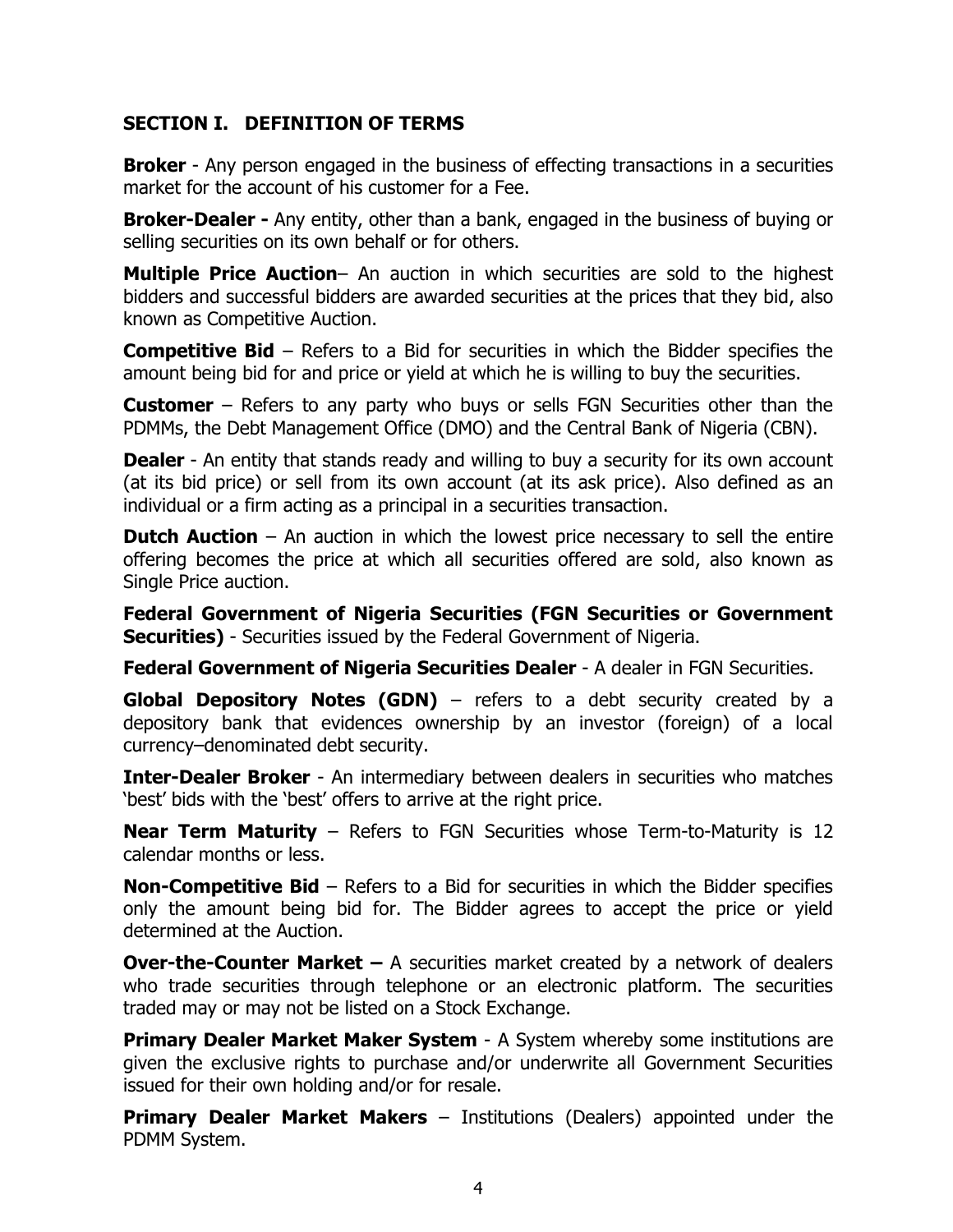#### **SECTION I. DEFINITION OF TERMS**

**Broker** - Any person engaged in the business of effecting transactions in a securities market for the account of his customer for a Fee.

**Broker-Dealer -** Any entity, other than a bank, engaged in the business of buying or selling securities on its own behalf or for others.

**Multiple Price Auction**– An auction in which securities are sold to the highest bidders and successful bidders are awarded securities at the prices that they bid, also known as Competitive Auction.

**Competitive Bid** – Refers to a Bid for securities in which the Bidder specifies the amount being bid for and price or yield at which he is willing to buy the securities.

**Customer** – Refers to any party who buys or sells FGN Securities other than the PDMMs, the Debt Management Office (DMO) and the Central Bank of Nigeria (CBN).

**Dealer** - An entity that stands ready and willing to buy a security for its own account (at its bid price) or sell from its own account (at its ask price). Also defined as an individual or a firm acting as a principal in a securities transaction.

**Dutch Auction** – An auction in which the lowest price necessary to sell the entire offering becomes the price at which all securities offered are sold, also known as Single Price auction.

**Federal Government of Nigeria Securities (FGN Securities or Government Securities)** - Securities issued by the Federal Government of Nigeria.

**Federal Government of Nigeria Securities Dealer** - A dealer in FGN Securities.

**Global Depository Notes (GDN)** – refers to a debt security created by a depository bank that evidences ownership by an investor (foreign) of a local currency–denominated debt security.

**Inter-Dealer Broker** - An intermediary between dealers in securities who matches 'best' bids with the 'best' offers to arrive at the right price.

**Near Term Maturity** – Refers to FGN Securities whose Term-to-Maturity is 12 calendar months or less.

**Non-Competitive Bid** – Refers to a Bid for securities in which the Bidder specifies only the amount being bid for. The Bidder agrees to accept the price or yield determined at the Auction.

**Over-the-Counter Market –** A securities market created by a network of dealers who trade securities through telephone or an electronic platform. The securities traded may or may not be listed on a Stock Exchange.

**Primary Dealer Market Maker System** - A System whereby some institutions are given the exclusive rights to purchase and/or underwrite all Government Securities issued for their own holding and/or for resale.

**Primary Dealer Market Makers** – Institutions (Dealers) appointed under the PDMM System.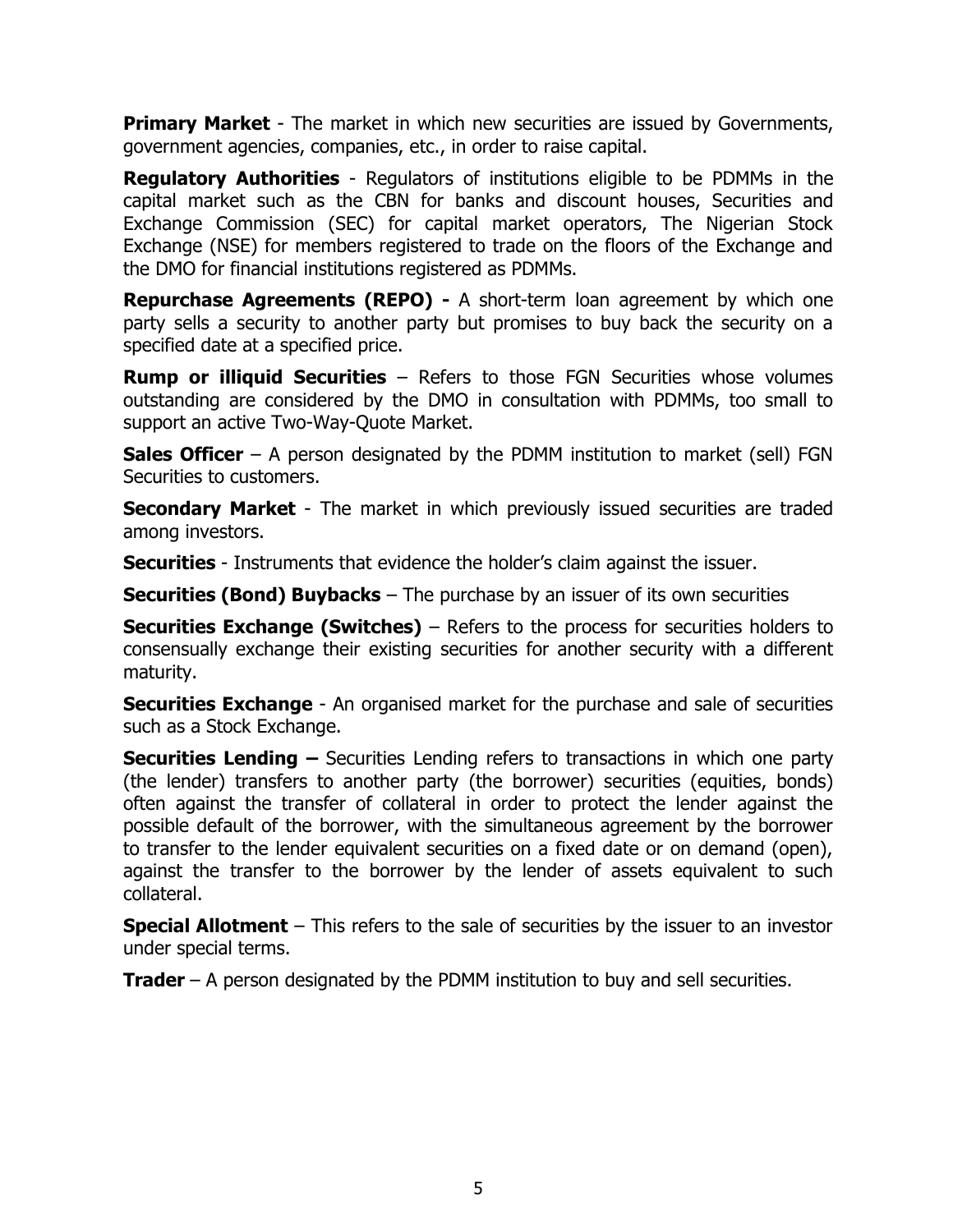**Primary Market** - The market in which new securities are issued by Governments, government agencies, companies, etc., in order to raise capital.

**Regulatory Authorities** - Regulators of institutions eligible to be PDMMs in the capital market such as the CBN for banks and discount houses, Securities and Exchange Commission (SEC) for capital market operators, The Nigerian Stock Exchange (NSE) for members registered to trade on the floors of the Exchange and the DMO for financial institutions registered as PDMMs.

**Repurchase Agreements (REPO) -** A short-term loan agreement by which one party sells a security to another party but promises to buy back the security on a specified date at a specified price.

**Rump or illiquid Securities** – Refers to those FGN Securities whose volumes outstanding are considered by the DMO in consultation with PDMMs, too small to support an active Two-Way-Quote Market.

**Sales Officer** – A person designated by the PDMM institution to market (sell) FGN Securities to customers.

**Secondary Market** - The market in which previously issued securities are traded among investors.

**Securities** - Instruments that evidence the holder's claim against the issuer.

**Securities (Bond) Buybacks** – The purchase by an issuer of its own securities

**Securities Exchange (Switches)** – Refers to the process for securities holders to consensually exchange their existing securities for another security with a different maturity.

**Securities Exchange** - An organised market for the purchase and sale of securities such as a Stock Exchange.

**Securities Lending –** Securities Lending refers to transactions in which one party (the lender) transfers to another party (the borrower) securities (equities, bonds) often against the transfer of collateral in order to protect the lender against the possible default of the borrower, with the simultaneous agreement by the borrower to transfer to the lender equivalent securities on a fixed date or on demand (open), against the transfer to the borrower by the lender of assets equivalent to such collateral.

**Special Allotment** – This refers to the sale of securities by the issuer to an investor under special terms.

**Trader** – A person designated by the PDMM institution to buy and sell securities.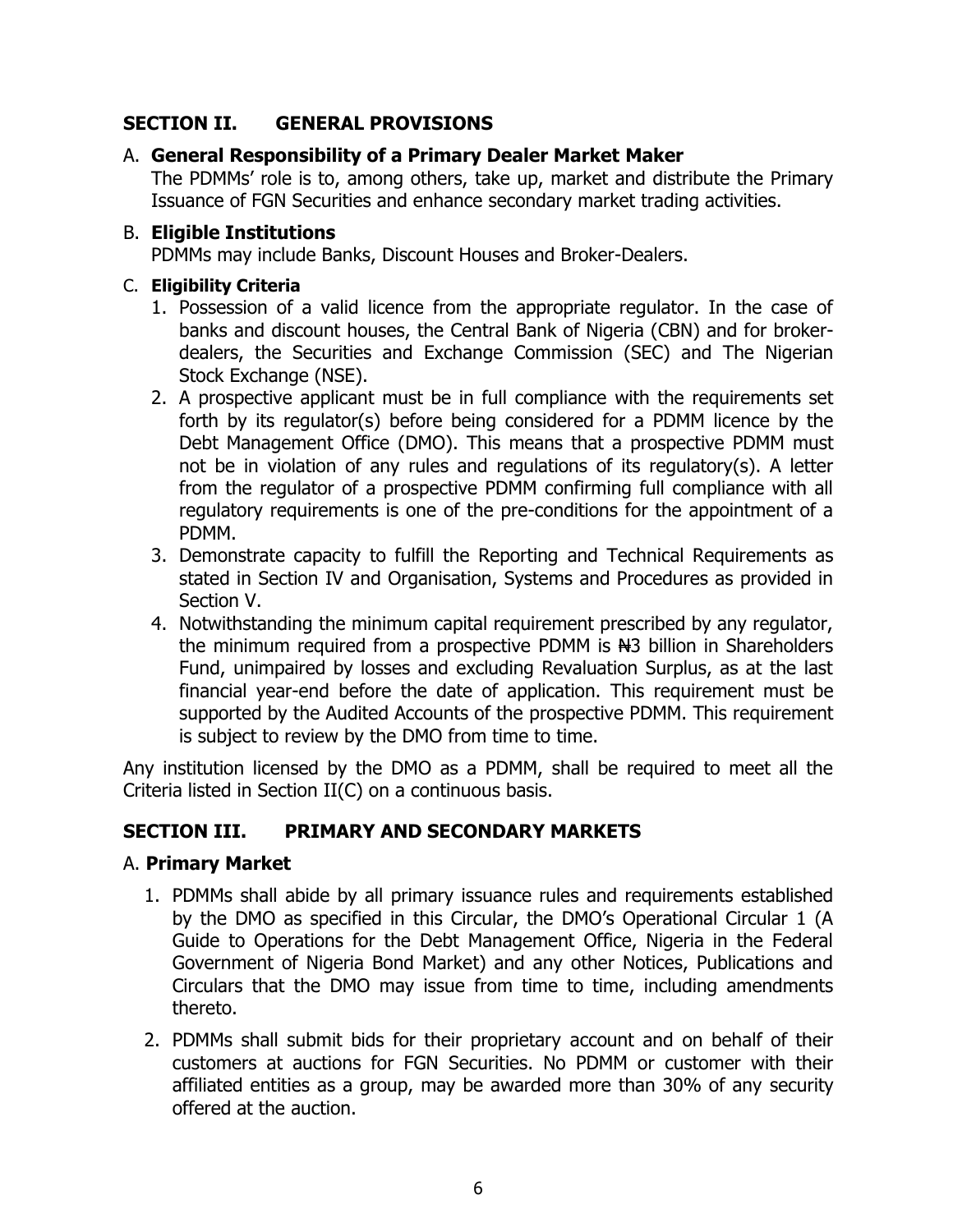# **SECTION II. GENERAL PROVISIONS**

# A. **General Responsibility of a Primary Dealer Market Maker**

The PDMMs' role is to, among others, take up, market and distribute the Primary Issuance of FGN Securities and enhance secondary market trading activities.

# B. **Eligible Institutions**

PDMMs may include Banks, Discount Houses and Broker-Dealers.

# C. **Eligibility Criteria**

- 1. Possession of a valid licence from the appropriate regulator. In the case of banks and discount houses, the Central Bank of Nigeria (CBN) and for brokerdealers, the Securities and Exchange Commission (SEC) and The Nigerian Stock Exchange (NSE).
- 2. A prospective applicant must be in full compliance with the requirements set forth by its regulator(s) before being considered for a PDMM licence by the Debt Management Office (DMO). This means that a prospective PDMM must not be in violation of any rules and regulations of its regulatory(s). A letter from the regulator of a prospective PDMM confirming full compliance with all regulatory requirements is one of the pre-conditions for the appointment of a PDMM.
- 3. Demonstrate capacity to fulfill the Reporting and Technical Requirements as stated in Section IV and Organisation, Systems and Procedures as provided in Section V.
- 4. Notwithstanding the minimum capital requirement prescribed by any regulator, the minimum required from a prospective PDMM is N<sub>3</sub> billion in Shareholders Fund, unimpaired by losses and excluding Revaluation Surplus, as at the last financial year-end before the date of application. This requirement must be supported by the Audited Accounts of the prospective PDMM. This requirement is subject to review by the DMO from time to time.

Any institution licensed by the DMO as a PDMM, shall be required to meet all the Criteria listed in Section II(C) on a continuous basis.

# **SECTION III. PRIMARY AND SECONDARY MARKETS**

#### A. **Primary Market**

- 1. PDMMs shall abide by all primary issuance rules and requirements established by the DMO as specified in this Circular, the DMO's Operational Circular 1 (A Guide to Operations for the Debt Management Office, Nigeria in the Federal Government of Nigeria Bond Market) and any other Notices, Publications and Circulars that the DMO may issue from time to time, including amendments thereto.
- 2. PDMMs shall submit bids for their proprietary account and on behalf of their customers at auctions for FGN Securities. No PDMM or customer with their affiliated entities as a group, may be awarded more than 30% of any security offered at the auction.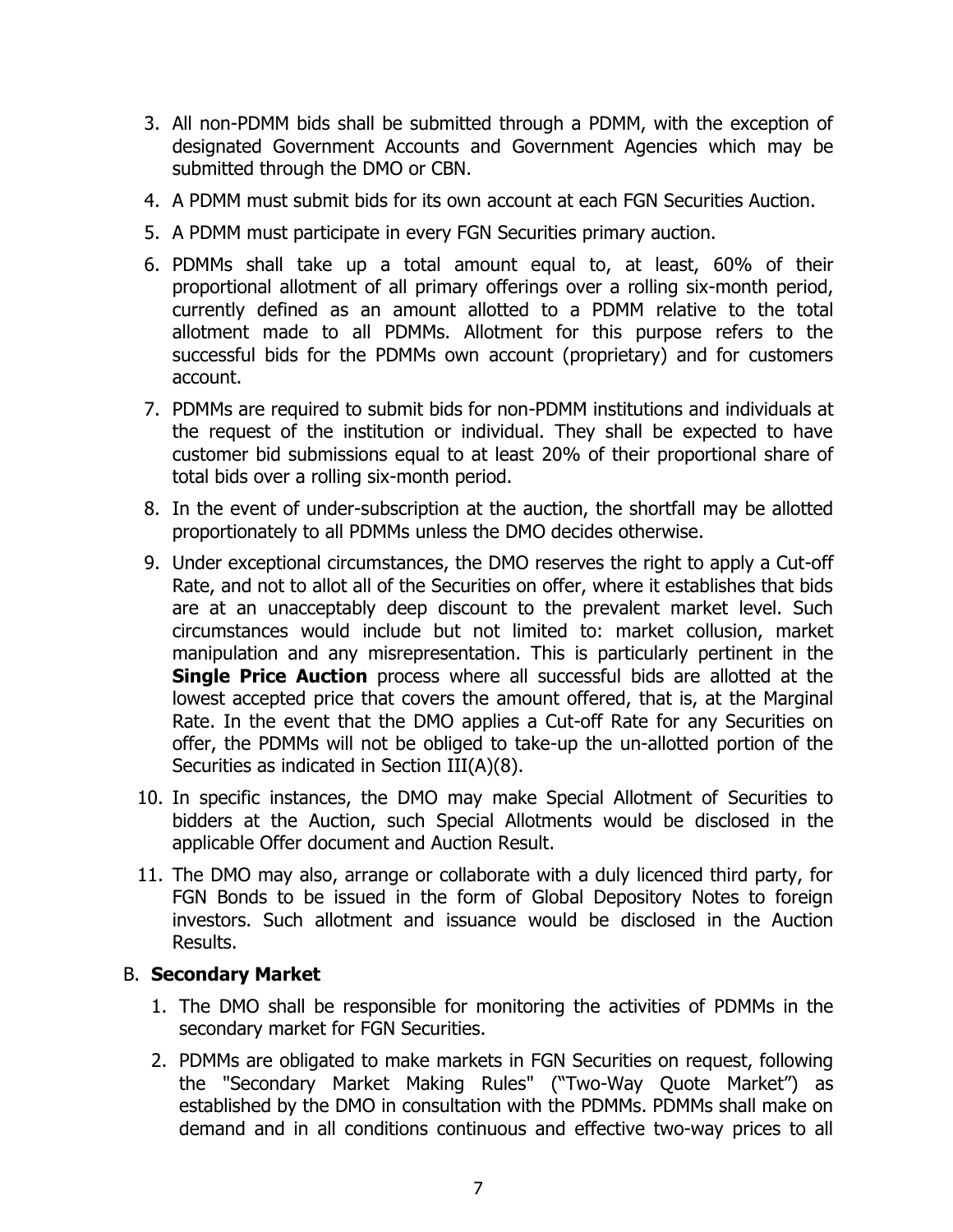- 3. All non-PDMM bids shall be submitted through a PDMM, with the exception of designated Government Accounts and Government Agencies which may be submitted through the DMO or CBN.
- 4. A PDMM must submit bids for its own account at each FGN Securities Auction.
- 5. A PDMM must participate in every FGN Securities primary auction.
- 6. PDMMs shall take up a total amount equal to, at least, 60% of their proportional allotment of all primary offerings over a rolling six-month period, currently defined as an amount allotted to a PDMM relative to the total allotment made to all PDMMs. Allotment for this purpose refers to the successful bids for the PDMMs own account (proprietary) and for customers account.
- 7. PDMMs are required to submit bids for non-PDMM institutions and individuals at the request of the institution or individual. They shall be expected to have customer bid submissions equal to at least 20% of their proportional share of total bids over a rolling six-month period.
- 8. In the event of under-subscription at the auction, the shortfall may be allotted proportionately to all PDMMs unless the DMO decides otherwise.
- 9. Under exceptional circumstances, the DMO reserves the right to apply a Cut-off Rate, and not to allot all of the Securities on offer, where it establishes that bids are at an unacceptably deep discount to the prevalent market level. Such circumstances would include but not limited to: market collusion, market manipulation and any misrepresentation. This is particularly pertinent in the **Single Price Auction** process where all successful bids are allotted at the lowest accepted price that covers the amount offered, that is, at the Marginal Rate. In the event that the DMO applies a Cut-off Rate for any Securities on offer, the PDMMs will not be obliged to take-up the un-allotted portion of the Securities as indicated in Section III(A)(8).
- 10. In specific instances, the DMO may make Special Allotment of Securities to bidders at the Auction, such Special Allotments would be disclosed in the applicable Offer document and Auction Result.
- 11. The DMO may also, arrange or collaborate with a duly licenced third party, for FGN Bonds to be issued in the form of Global Depository Notes to foreign investors. Such allotment and issuance would be disclosed in the Auction Results.

#### B. **Secondary Market**

- 1. The DMO shall be responsible for monitoring the activities of PDMMs in the secondary market for FGN Securities.
- 2. PDMMs are obligated to make markets in FGN Securities on request, following the "Secondary Market Making Rules" ("Two-Way Quote Market") as established by the DMO in consultation with the PDMMs. PDMMs shall make on demand and in all conditions continuous and effective two-way prices to all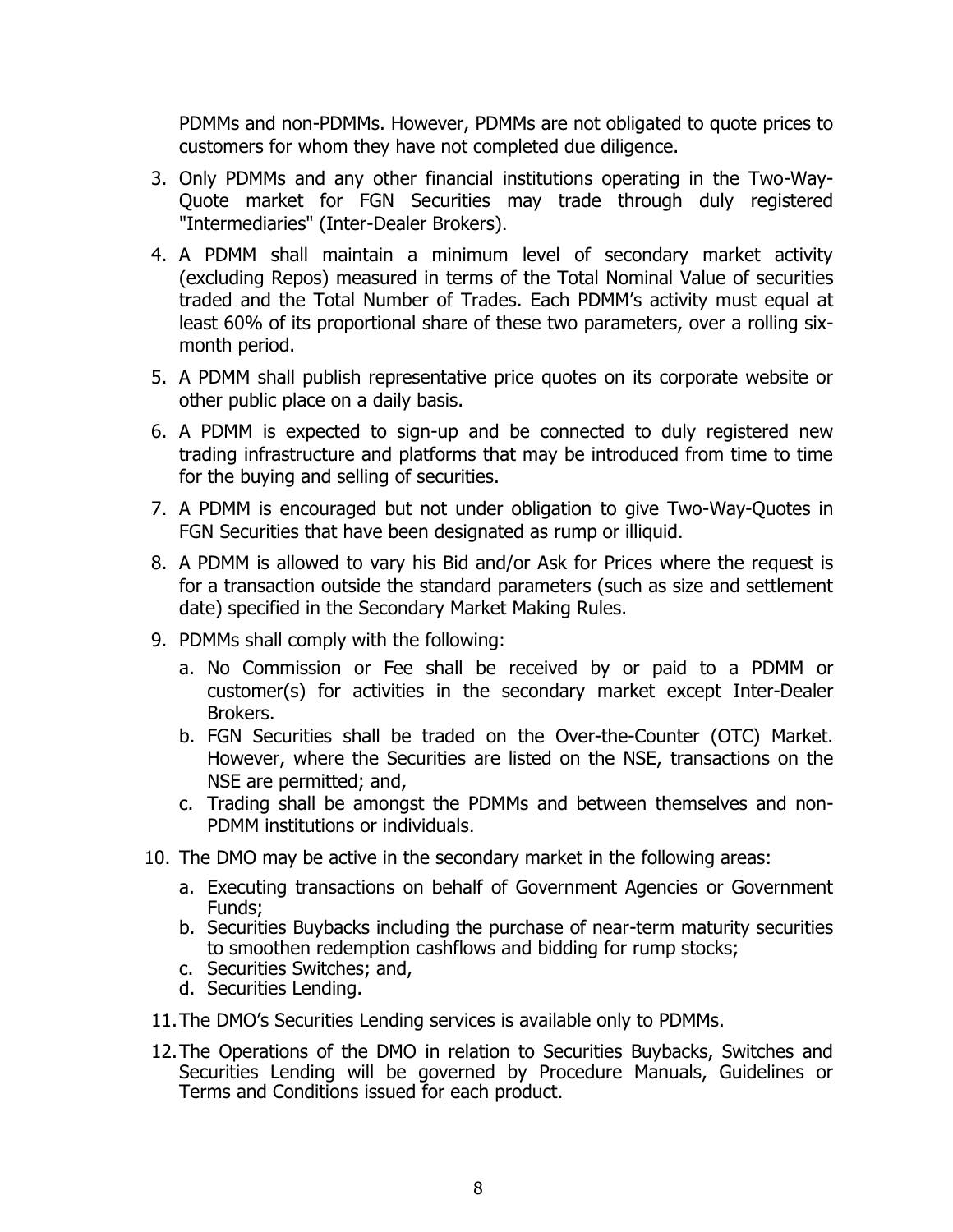PDMMs and non-PDMMs. However, PDMMs are not obligated to quote prices to customers for whom they have not completed due diligence.

- 3. Only PDMMs and any other financial institutions operating in the Two-Way-Quote market for FGN Securities may trade through duly registered "Intermediaries" (Inter-Dealer Brokers).
- 4. A PDMM shall maintain a minimum level of secondary market activity (excluding Repos) measured in terms of the Total Nominal Value of securities traded and the Total Number of Trades. Each PDMM's activity must equal at least 60% of its proportional share of these two parameters, over a rolling sixmonth period.
- 5. A PDMM shall publish representative price quotes on its corporate website or other public place on a daily basis.
- 6. A PDMM is expected to sign-up and be connected to duly registered new trading infrastructure and platforms that may be introduced from time to time for the buying and selling of securities.
- 7. A PDMM is encouraged but not under obligation to give Two-Way-Quotes in FGN Securities that have been designated as rump or illiquid.
- 8. A PDMM is allowed to vary his Bid and/or Ask for Prices where the request is for a transaction outside the standard parameters (such as size and settlement date) specified in the Secondary Market Making Rules.
- 9. PDMMs shall comply with the following:
	- a. No Commission or Fee shall be received by or paid to a PDMM or customer(s) for activities in the secondary market except Inter-Dealer Brokers.
	- b. FGN Securities shall be traded on the Over-the-Counter (OTC) Market. However, where the Securities are listed on the NSE, transactions on the NSE are permitted; and,
	- c. Trading shall be amongst the PDMMs and between themselves and non-PDMM institutions or individuals.
- 10. The DMO may be active in the secondary market in the following areas:
	- a. Executing transactions on behalf of Government Agencies or Government Funds;
	- b. Securities Buybacks including the purchase of near-term maturity securities to smoothen redemption cashflows and bidding for rump stocks;
	- c. Securities Switches; and,
	- d. Securities Lending.
- 11.The DMO's Securities Lending services is available only to PDMMs.
- 12.The Operations of the DMO in relation to Securities Buybacks, Switches and Securities Lending will be governed by Procedure Manuals, Guidelines or Terms and Conditions issued for each product.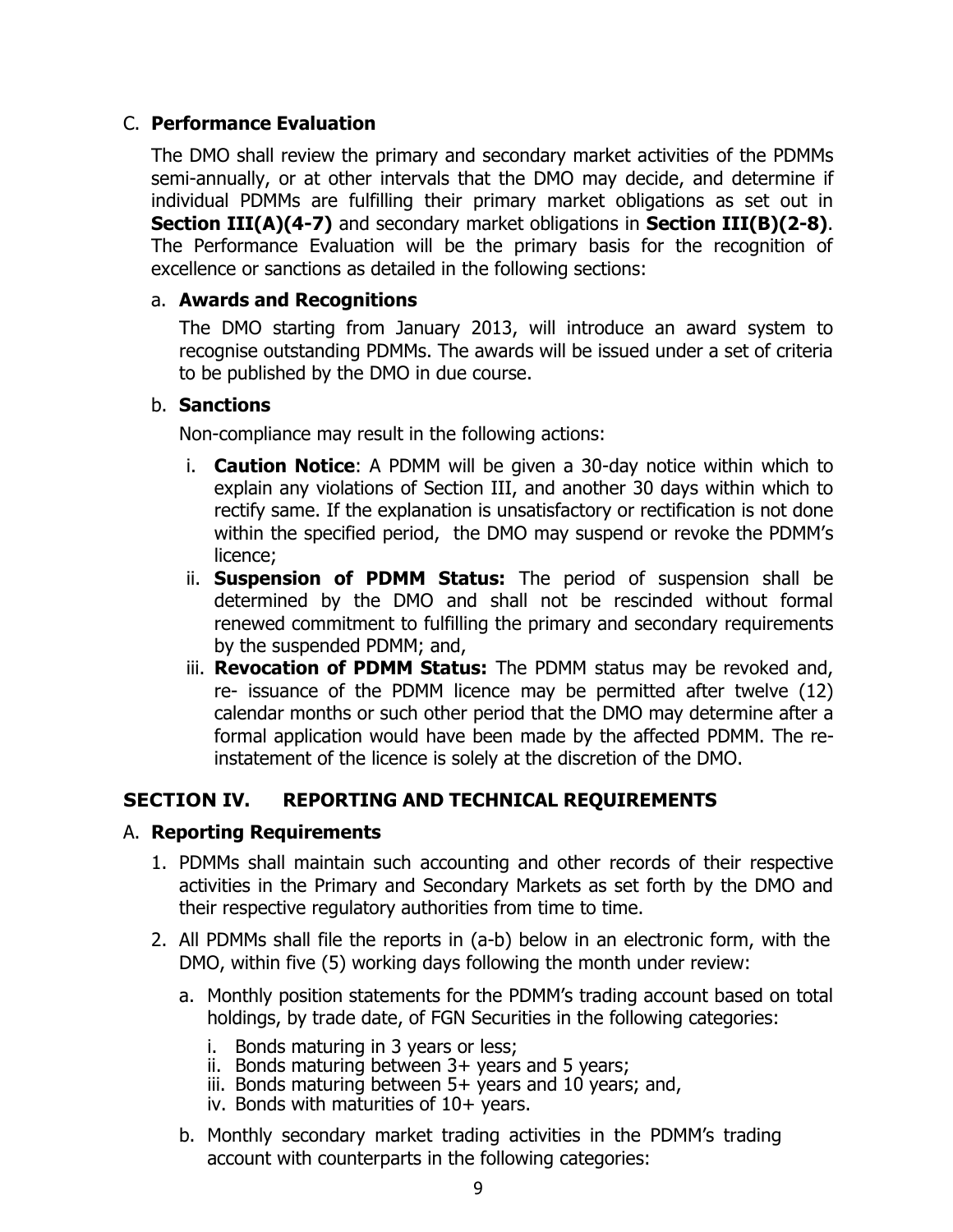#### C. **Performance Evaluation**

The DMO shall review the primary and secondary market activities of the PDMMs semi-annually, or at other intervals that the DMO may decide, and determine if individual PDMMs are fulfilling their primary market obligations as set out in **Section III(A)(4-7)** and secondary market obligations in **Section III(B)(2-8)**. The Performance Evaluation will be the primary basis for the recognition of excellence or sanctions as detailed in the following sections:

#### a. **Awards and Recognitions**

The DMO starting from January 2013, will introduce an award system to recognise outstanding PDMMs. The awards will be issued under a set of criteria to be published by the DMO in due course.

#### b. **Sanctions**

Non-compliance may result in the following actions:

- i. **Caution Notice**: A PDMM will be given a 30-day notice within which to explain any violations of Section III, and another 30 days within which to rectify same. If the explanation is unsatisfactory or rectification is not done within the specified period, the DMO may suspend or revoke the PDMM's licence;
- ii. **Suspension of PDMM Status:** The period of suspension shall be determined by the DMO and shall not be rescinded without formal renewed commitment to fulfilling the primary and secondary requirements by the suspended PDMM; and,
- iii. **Revocation of PDMM Status:** The PDMM status may be revoked and, re- issuance of the PDMM licence may be permitted after twelve (12) calendar months or such other period that the DMO may determine after a formal application would have been made by the affected PDMM. The reinstatement of the licence is solely at the discretion of the DMO.

#### **SECTION IV. REPORTING AND TECHNICAL REQUIREMENTS**

#### A. **Reporting Requirements**

- 1. PDMMs shall maintain such accounting and other records of their respective activities in the Primary and Secondary Markets as set forth by the DMO and their respective regulatory authorities from time to time.
- 2. All PDMMs shall file the reports in (a-b) below in an electronic form, with the DMO, within five (5) working days following the month under review:
	- a. Monthly position statements for the PDMM's trading account based on total holdings, by trade date, of FGN Securities in the following categories:
		- i. Bonds maturing in 3 years or less;
		- ii. Bonds maturing between 3+ years and 5 years;
		- iii. Bonds maturing between 5+ years and 10 years; and,
		- iv. Bonds with maturities of  $10+$  years.
	- b. Monthly secondary market trading activities in the PDMM's trading account with counterparts in the following categories: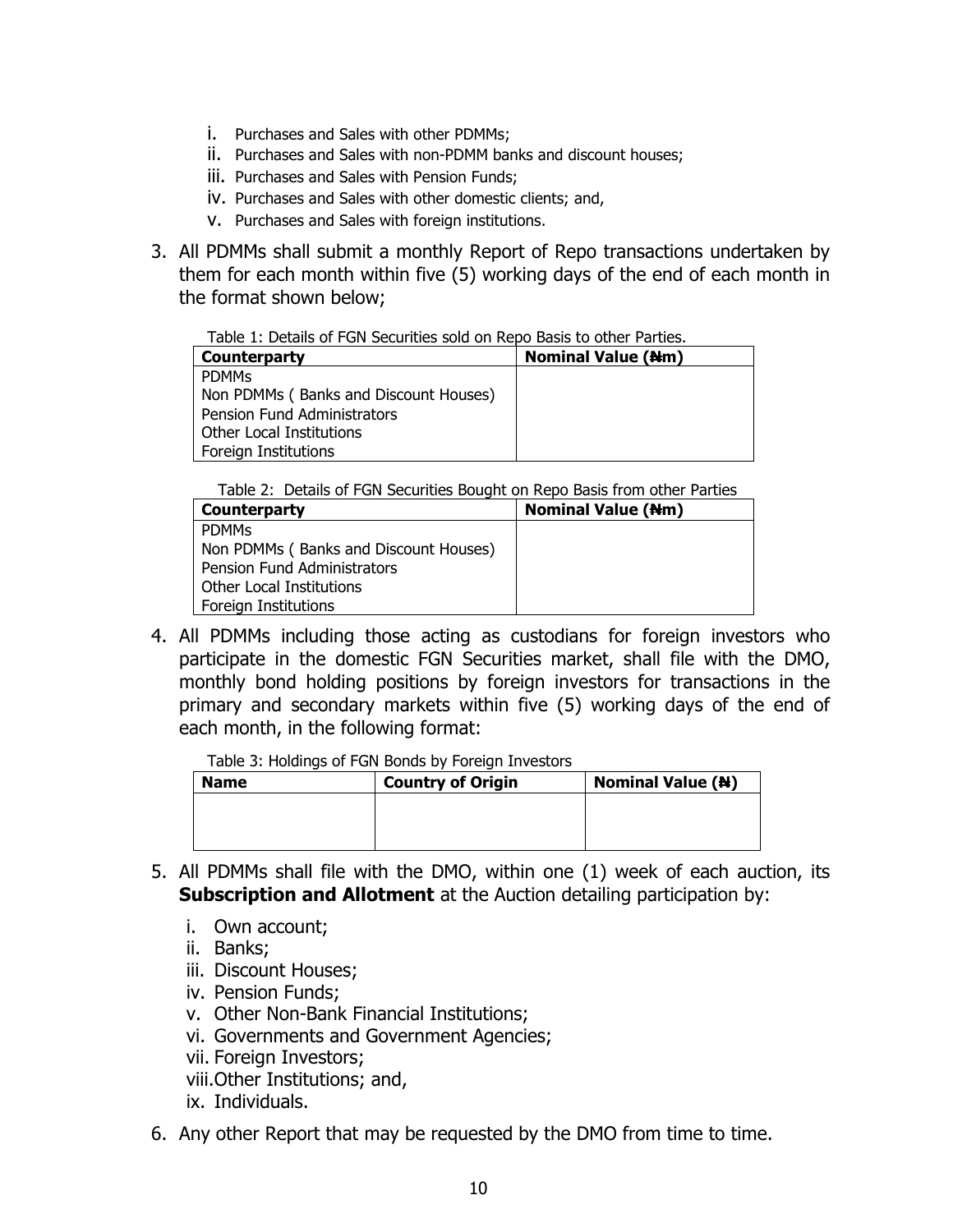- i. Purchases and Sales with other PDMMs;
- ii. Purchases and Sales with non-PDMM banks and discount houses;
- iii. Purchases and Sales with Pension Funds;
- iv. Purchases and Sales with other domestic clients; and,
- v. Purchases and Sales with foreign institutions.
- 3. All PDMMs shall submit a monthly Report of Repo transactions undertaken by them for each month within five (5) working days of the end of each month in the format shown below;

Table 1: Details of FGN Securities sold on Repo Basis to other Parties.

| Counterparty                          | <b>Nominal Value (Nm)</b> |
|---------------------------------------|---------------------------|
| <b>PDMMS</b>                          |                           |
| Non PDMMs (Banks and Discount Houses) |                           |
| <b>Pension Fund Administrators</b>    |                           |
| Other Local Institutions              |                           |
| Foreign Institutions                  |                           |

Table 2: Details of FGN Securities Bought on Repo Basis from other Parties

| <b>Nominal Value (Nm)</b><br>Counterparty<br><b>PDMMs</b><br>Non PDMMs (Banks and Discount Houses)<br><b>Pension Fund Administrators</b><br>Other Local Institutions |                      |  |
|----------------------------------------------------------------------------------------------------------------------------------------------------------------------|----------------------|--|
|                                                                                                                                                                      |                      |  |
|                                                                                                                                                                      |                      |  |
|                                                                                                                                                                      |                      |  |
|                                                                                                                                                                      |                      |  |
|                                                                                                                                                                      |                      |  |
|                                                                                                                                                                      | Foreign Institutions |  |

4. All PDMMs including those acting as custodians for foreign investors who participate in the domestic FGN Securities market, shall file with the DMO, monthly bond holding positions by foreign investors for transactions in the primary and secondary markets within five (5) working days of the end of each month, in the following format:

Table 3: Holdings of FGN Bonds by Foreign Investors

| <b>Name</b> | <b>Country of Origin</b> | <b>Nominal Value (N)</b> |
|-------------|--------------------------|--------------------------|
|             |                          |                          |
|             |                          |                          |
|             |                          |                          |

- 5. All PDMMs shall file with the DMO, within one (1) week of each auction, its **Subscription and Allotment** at the Auction detailing participation by:
	- i. Own account;
	- ii. Banks;
	- iii. Discount Houses;
	- iv. Pension Funds;
	- v. Other Non-Bank Financial Institutions;
	- vi. Governments and Government Agencies;
	- vii. Foreign Investors;
	- viii.Other Institutions; and,
	- ix. Individuals.
- 6. Any other Report that may be requested by the DMO from time to time.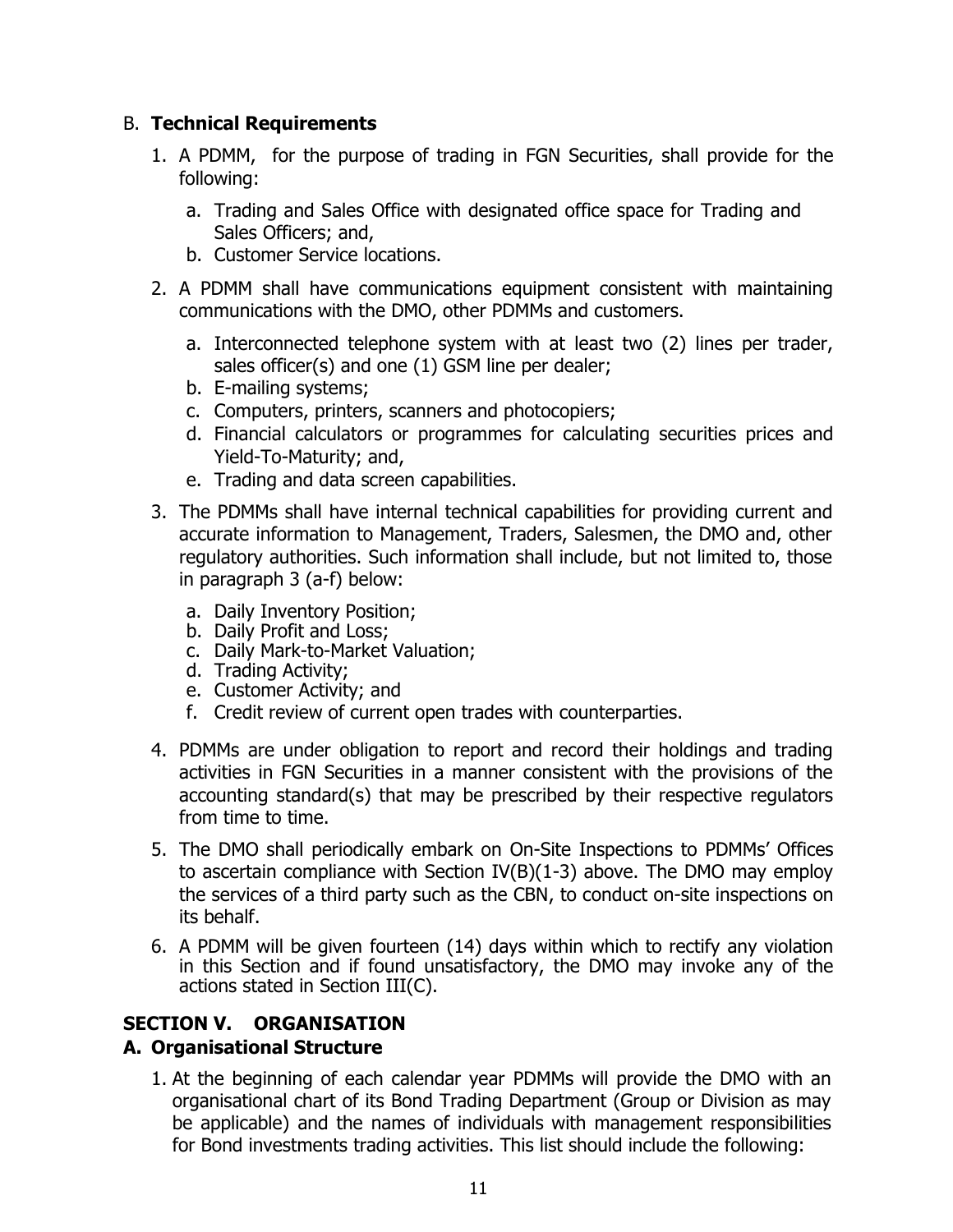#### B. **Technical Requirements**

- 1. A PDMM, for the purpose of trading in FGN Securities, shall provide for the following:
	- a. Trading and Sales Office with designated office space for Trading and Sales Officers; and,
	- b. Customer Service locations.
- 2. A PDMM shall have communications equipment consistent with maintaining communications with the DMO, other PDMMs and customers.
	- a. Interconnected telephone system with at least two (2) lines per trader, sales officer(s) and one (1) GSM line per dealer;
	- b. E-mailing systems;
	- c. Computers, printers, scanners and photocopiers;
	- d. Financial calculators or programmes for calculating securities prices and Yield-To-Maturity; and,
	- e. Trading and data screen capabilities.
- 3. The PDMMs shall have internal technical capabilities for providing current and accurate information to Management, Traders, Salesmen, the DMO and, other regulatory authorities. Such information shall include, but not limited to, those in paragraph 3 (a-f) below:
	- a. Daily Inventory Position;
	- b. Daily Profit and Loss;
	- c. Daily Mark-to-Market Valuation;
	- d. Trading Activity;
	- e. Customer Activity; and
	- f. Credit review of current open trades with counterparties.
- 4. PDMMs are under obligation to report and record their holdings and trading activities in FGN Securities in a manner consistent with the provisions of the accounting standard(s) that may be prescribed by their respective regulators from time to time.
- 5. The DMO shall periodically embark on On-Site Inspections to PDMMs' Offices to ascertain compliance with Section IV(B)(1-3) above. The DMO may employ the services of a third party such as the CBN, to conduct on-site inspections on its behalf.
- 6. A PDMM will be given fourteen (14) days within which to rectify any violation in this Section and if found unsatisfactory, the DMO may invoke any of the actions stated in Section III(C).

# **SECTION V. ORGANISATION**

# **A. Organisational Structure**

1. At the beginning of each calendar year PDMMs will provide the DMO with an organisational chart of its Bond Trading Department (Group or Division as may be applicable) and the names of individuals with management responsibilities for Bond investments trading activities. This list should include the following: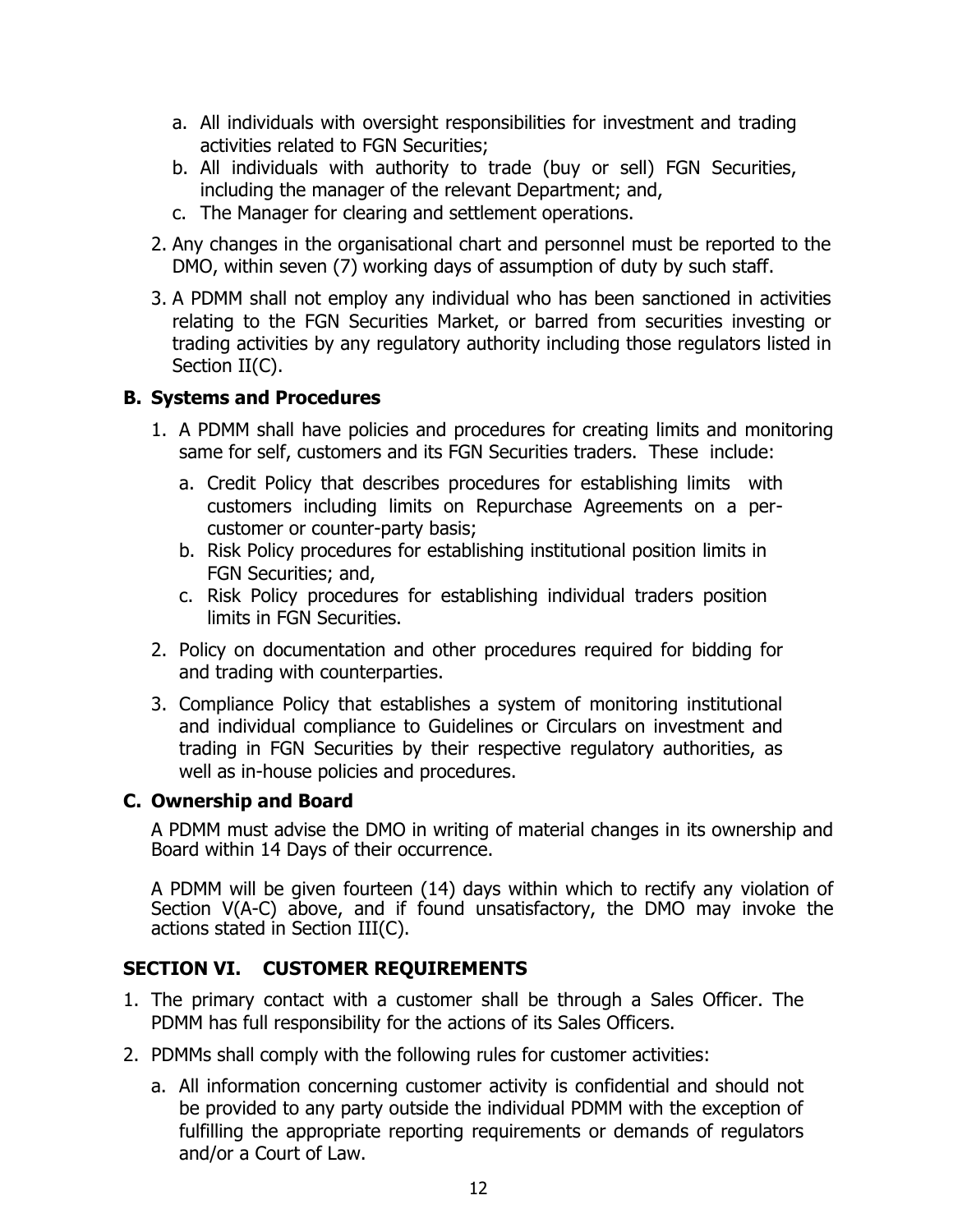- a. All individuals with oversight responsibilities for investment and trading activities related to FGN Securities;
- b. All individuals with authority to trade (buy or sell) FGN Securities, including the manager of the relevant Department; and,
- c. The Manager for clearing and settlement operations.
- 2. Any changes in the organisational chart and personnel must be reported to the DMO, within seven (7) working days of assumption of duty by such staff.
- 3. A PDMM shall not employ any individual who has been sanctioned in activities relating to the FGN Securities Market, or barred from securities investing or trading activities by any regulatory authority including those regulators listed in Section II(C).

# **B. Systems and Procedures**

- 1. A PDMM shall have policies and procedures for creating limits and monitoring same for self, customers and its FGN Securities traders. These include:
	- a. Credit Policy that describes procedures for establishing limits with customers including limits on Repurchase Agreements on a percustomer or counter-party basis;
	- b. Risk Policy procedures for establishing institutional position limits in FGN Securities; and,
	- c. Risk Policy procedures for establishing individual traders position limits in FGN Securities.
- 2. Policy on documentation and other procedures required for bidding for and trading with counterparties.
- 3. Compliance Policy that establishes a system of monitoring institutional and individual compliance to Guidelines or Circulars on investment and trading in FGN Securities by their respective regulatory authorities, as well as in-house policies and procedures.

# **C. Ownership and Board**

A PDMM must advise the DMO in writing of material changes in its ownership and Board within 14 Days of their occurrence.

A PDMM will be given fourteen (14) days within which to rectify any violation of Section V(A-C) above, and if found unsatisfactory, the DMO may invoke the actions stated in Section III(C).

# **SECTION VI. CUSTOMER REQUIREMENTS**

- 1. The primary contact with a customer shall be through a Sales Officer. The PDMM has full responsibility for the actions of its Sales Officers.
- 2. PDMMs shall comply with the following rules for customer activities:
	- a. All information concerning customer activity is confidential and should not be provided to any party outside the individual PDMM with the exception of fulfilling the appropriate reporting requirements or demands of regulators and/or a Court of Law.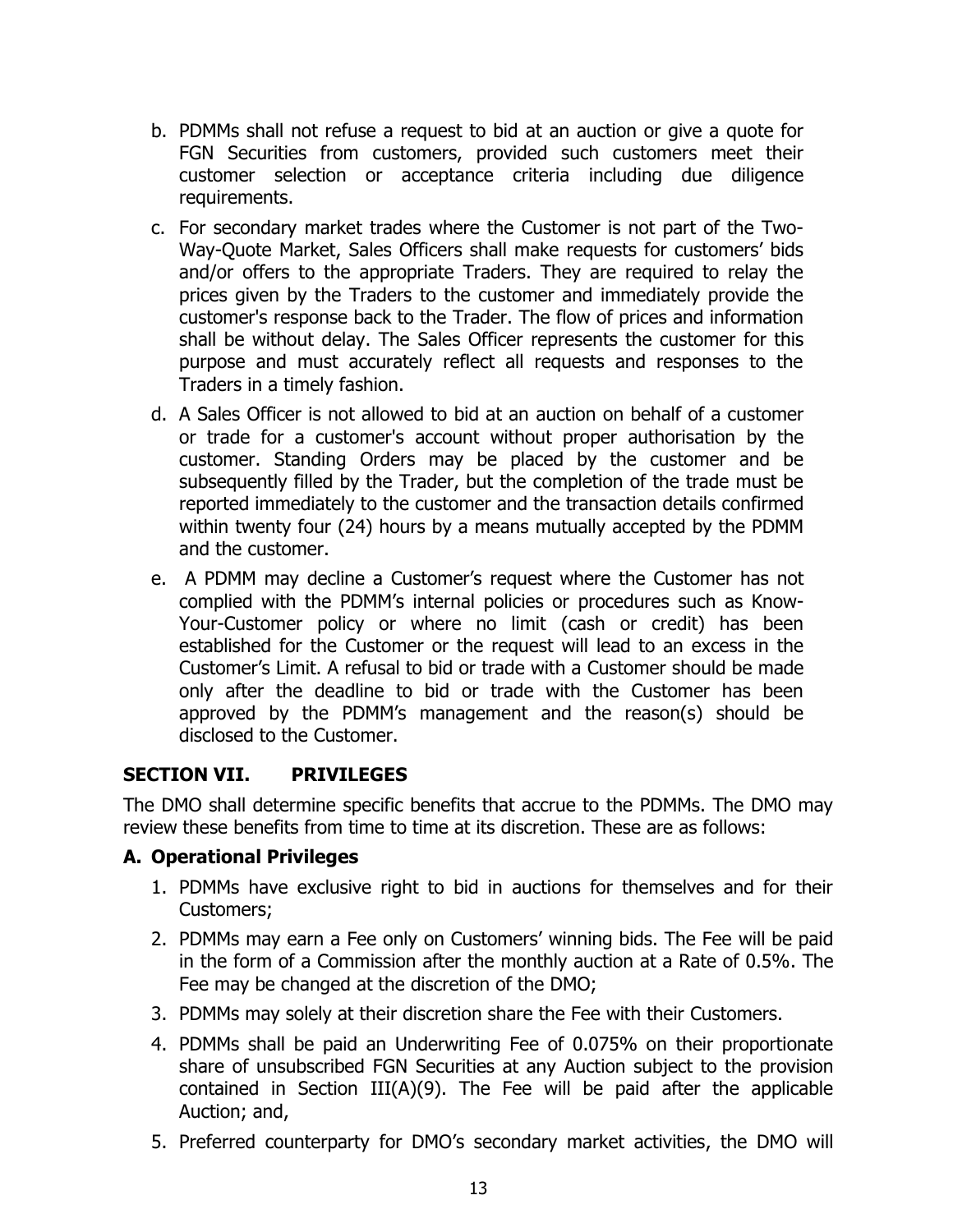- b. PDMMs shall not refuse a request to bid at an auction or give a quote for FGN Securities from customers, provided such customers meet their customer selection or acceptance criteria including due diligence requirements.
- c. For secondary market trades where the Customer is not part of the Two-Way-Quote Market, Sales Officers shall make requests for customers' bids and/or offers to the appropriate Traders. They are required to relay the prices given by the Traders to the customer and immediately provide the customer's response back to the Trader. The flow of prices and information shall be without delay. The Sales Officer represents the customer for this purpose and must accurately reflect all requests and responses to the Traders in a timely fashion.
- d. A Sales Officer is not allowed to bid at an auction on behalf of a customer or trade for a customer's account without proper authorisation by the customer. Standing Orders may be placed by the customer and be subsequently filled by the Trader, but the completion of the trade must be reported immediately to the customer and the transaction details confirmed within twenty four (24) hours by a means mutually accepted by the PDMM and the customer.
- e. A PDMM may decline a Customer's request where the Customer has not complied with the PDMM's internal policies or procedures such as Know-Your-Customer policy or where no limit (cash or credit) has been established for the Customer or the request will lead to an excess in the Customer's Limit. A refusal to bid or trade with a Customer should be made only after the deadline to bid or trade with the Customer has been approved by the PDMM's management and the reason(s) should be disclosed to the Customer.

#### **SECTION VII. PRIVILEGES**

The DMO shall determine specific benefits that accrue to the PDMMs. The DMO may review these benefits from time to time at its discretion. These are as follows:

#### **A. Operational Privileges**

- 1. PDMMs have exclusive right to bid in auctions for themselves and for their Customers;
- 2. PDMMs may earn a Fee only on Customers' winning bids. The Fee will be paid in the form of a Commission after the monthly auction at a Rate of 0.5%. The Fee may be changed at the discretion of the DMO;
- 3. PDMMs may solely at their discretion share the Fee with their Customers.
- 4. PDMMs shall be paid an Underwriting Fee of 0.075% on their proportionate share of unsubscribed FGN Securities at any Auction subject to the provision contained in Section III(A)(9). The Fee will be paid after the applicable Auction; and,
- 5. Preferred counterparty for DMO's secondary market activities, the DMO will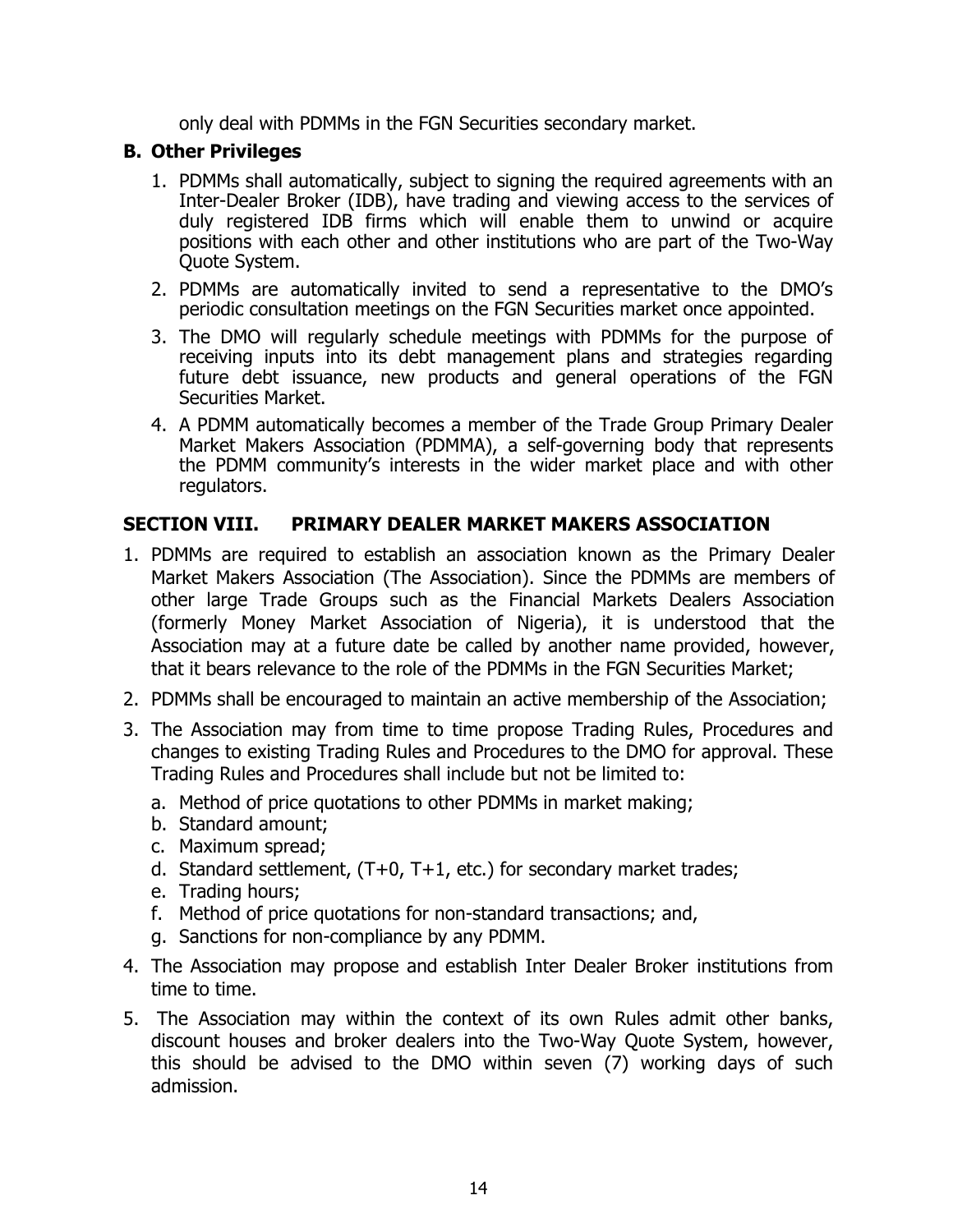only deal with PDMMs in the FGN Securities secondary market.

# **B. Other Privileges**

- 1. PDMMs shall automatically, subject to signing the required agreements with an Inter-Dealer Broker (IDB), have trading and viewing access to the services of duly registered IDB firms which will enable them to unwind or acquire positions with each other and other institutions who are part of the Two-Way Quote System.
- 2. PDMMs are automatically invited to send a representative to the DMO's periodic consultation meetings on the FGN Securities market once appointed.
- 3. The DMO will regularly schedule meetings with PDMMs for the purpose of receiving inputs into its debt management plans and strategies regarding future debt issuance, new products and general operations of the FGN Securities Market.
- 4. A PDMM automatically becomes a member of the Trade Group Primary Dealer Market Makers Association (PDMMA), a self-governing body that represents the PDMM community's interests in the wider market place and with other regulators.

# **SECTION VIII. PRIMARY DEALER MARKET MAKERS ASSOCIATION**

- 1. PDMMs are required to establish an association known as the Primary Dealer Market Makers Association (The Association). Since the PDMMs are members of other large Trade Groups such as the Financial Markets Dealers Association (formerly Money Market Association of Nigeria), it is understood that the Association may at a future date be called by another name provided, however, that it bears relevance to the role of the PDMMs in the FGN Securities Market;
- 2. PDMMs shall be encouraged to maintain an active membership of the Association;
- 3. The Association may from time to time propose Trading Rules, Procedures and changes to existing Trading Rules and Procedures to the DMO for approval. These Trading Rules and Procedures shall include but not be limited to:
	- a. Method of price quotations to other PDMMs in market making;
	- b. Standard amount;
	- c. Maximum spread;
	- d. Standard settlement,  $(T+0, T+1, \text{etc.})$  for secondary market trades;
	- e. Trading hours;
	- f. Method of price quotations for non-standard transactions; and,
	- g. Sanctions for non-compliance by any PDMM.
- 4. The Association may propose and establish Inter Dealer Broker institutions from time to time.
- 5. The Association may within the context of its own Rules admit other banks, discount houses and broker dealers into the Two-Way Quote System, however, this should be advised to the DMO within seven (7) working days of such admission.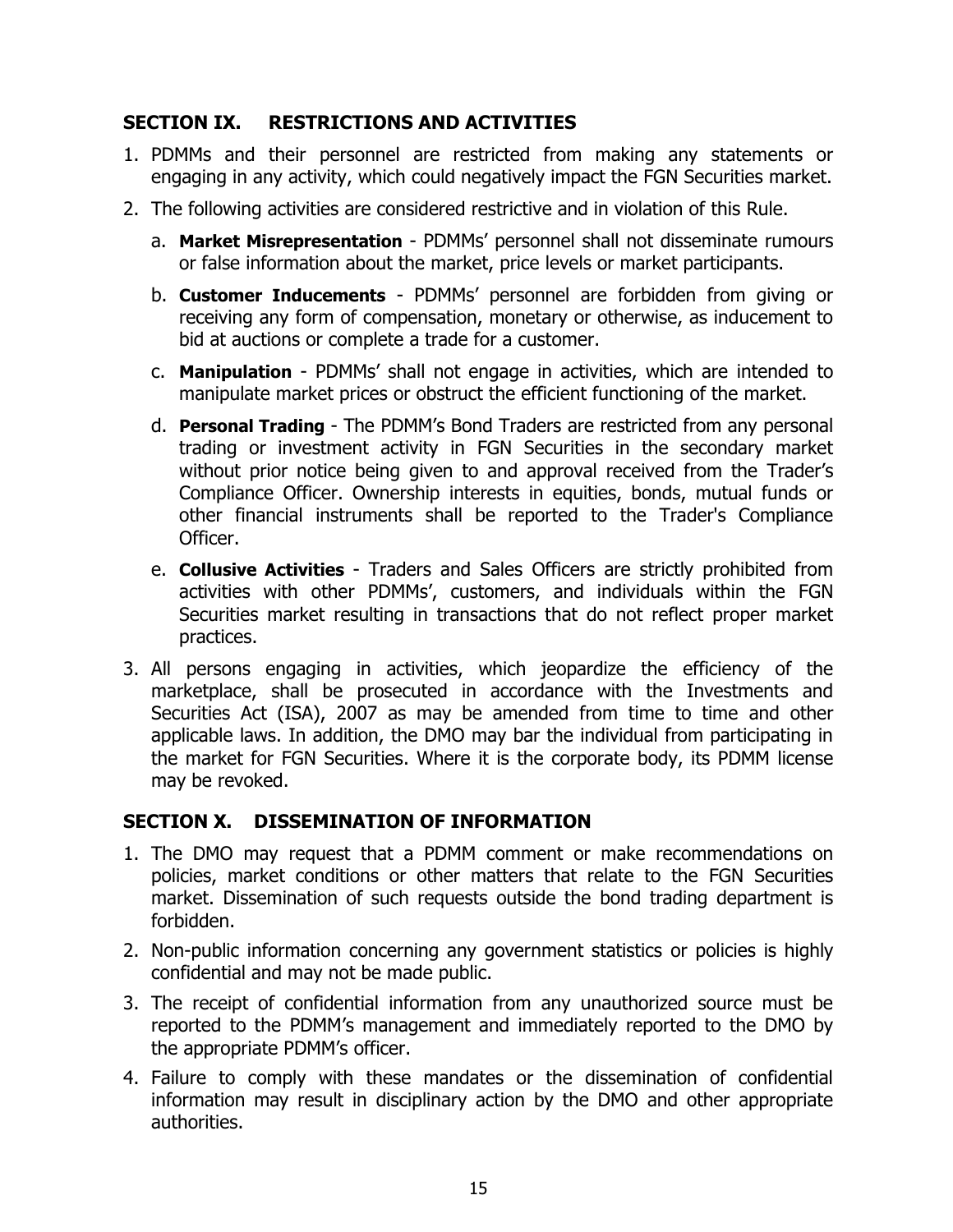# **SECTION IX. RESTRICTIONS AND ACTIVITIES**

- 1. PDMMs and their personnel are restricted from making any statements or engaging in any activity, which could negatively impact the FGN Securities market.
- 2. The following activities are considered restrictive and in violation of this Rule.
	- a. **Market Misrepresentation** PDMMs' personnel shall not disseminate rumours or false information about the market, price levels or market participants.
	- b. **Customer Inducements** PDMMs' personnel are forbidden from giving or receiving any form of compensation, monetary or otherwise, as inducement to bid at auctions or complete a trade for a customer.
	- c. **Manipulation** PDMMs' shall not engage in activities, which are intended to manipulate market prices or obstruct the efficient functioning of the market.
	- d. **Personal Trading** The PDMM's Bond Traders are restricted from any personal trading or investment activity in FGN Securities in the secondary market without prior notice being given to and approval received from the Trader's Compliance Officer. Ownership interests in equities, bonds, mutual funds or other financial instruments shall be reported to the Trader's Compliance Officer.
	- e. **Collusive Activities** Traders and Sales Officers are strictly prohibited from activities with other PDMMs', customers, and individuals within the FGN Securities market resulting in transactions that do not reflect proper market practices.
- 3. All persons engaging in activities, which jeopardize the efficiency of the marketplace, shall be prosecuted in accordance with the Investments and Securities Act (ISA), 2007 as may be amended from time to time and other applicable laws. In addition, the DMO may bar the individual from participating in the market for FGN Securities. Where it is the corporate body, its PDMM license may be revoked.

# **SECTION X. DISSEMINATION OF INFORMATION**

- 1. The DMO may request that a PDMM comment or make recommendations on policies, market conditions or other matters that relate to the FGN Securities market. Dissemination of such requests outside the bond trading department is forbidden.
- 2. Non-public information concerning any government statistics or policies is highly confidential and may not be made public.
- 3. The receipt of confidential information from any unauthorized source must be reported to the PDMM's management and immediately reported to the DMO by the appropriate PDMM's officer.
- 4. Failure to comply with these mandates or the dissemination of confidential information may result in disciplinary action by the DMO and other appropriate authorities.